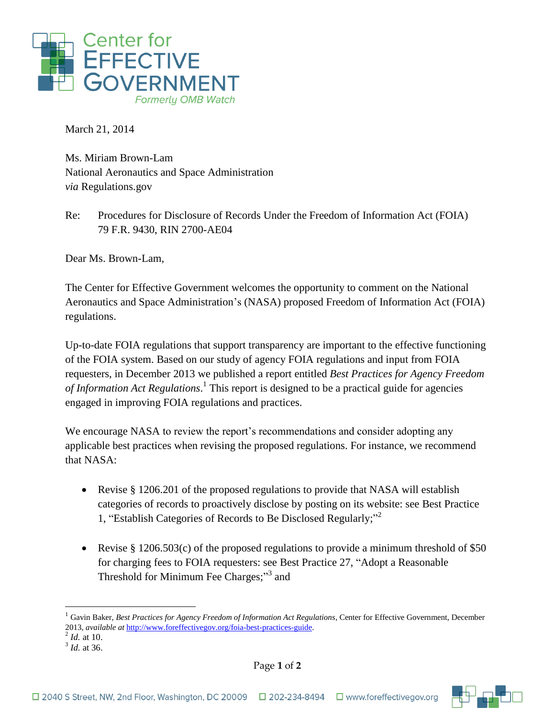

March 21, 2014

Ms. Miriam Brown-Lam National Aeronautics and Space Administration *via* Regulations.gov

Re: Procedures for Disclosure of Records Under the Freedom of Information Act (FOIA) 79 F.R. 9430, RIN 2700-AE04

Dear Ms. Brown-Lam,

The Center for Effective Government welcomes the opportunity to comment on the National Aeronautics and Space Administration's (NASA) proposed Freedom of Information Act (FOIA) regulations.

Up-to-date FOIA regulations that support transparency are important to the effective functioning of the FOIA system. Based on our study of agency FOIA regulations and input from FOIA requesters, in December 2013 we published a report entitled *Best Practices for Agency Freedom of Information Act Regulations*. 1 This report is designed to be a practical guide for agencies engaged in improving FOIA regulations and practices.

We encourage NASA to review the report's recommendations and consider adopting any applicable best practices when revising the proposed regulations. For instance, we recommend that NASA:

- Revise § 1206.201 of the proposed regulations to provide that NASA will establish categories of records to proactively disclose by posting on its website: see Best Practice 1, "Establish Categories of Records to Be Disclosed Regularly;"<sup>2</sup>
- Revise § 1206.503(c) of the proposed regulations to provide a minimum threshold of \$50 for charging fees to FOIA requesters: see Best Practice 27, "Adopt a Reasonable Threshold for Minimum Fee Charges;"<sup>3</sup> and

 $\overline{a}$ 



<sup>1</sup> Gavin Baker, *Best Practices for Agency Freedom of Information Act Regulations*, Center for Effective Government, December 2013, *available at* [http://www.foreffectivegov.org/foia-best-practices-guide.](http://www.foreffectivegov.org/foia-best-practices-guide) 2 *Id.* at 10.

<sup>3</sup> *Id.* at 36.